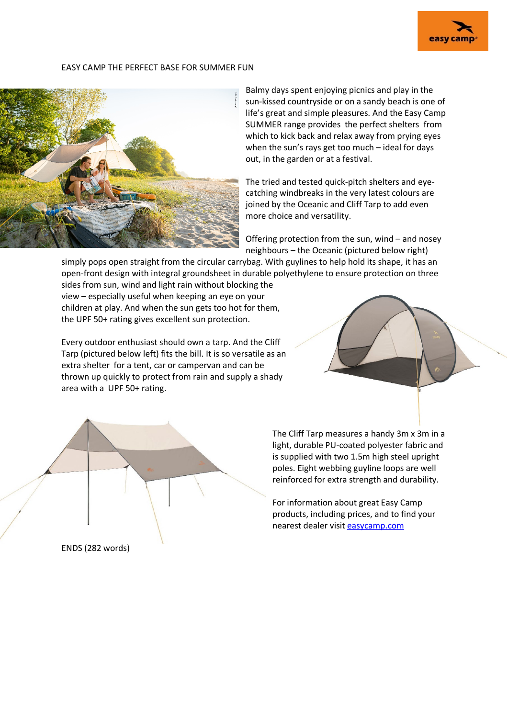

## EASY CAMP THE PERFECT BASE FOR SUMMER FUN



Balmy days spent enjoying picnics and play in the sun-kissed countryside or on a sandy beach is one of life's great and simple pleasures. And the Easy Camp SUMMER range provides the perfect shelters from which to kick back and relax away from prying eyes when the sun's rays get too much – ideal for days out, in the garden or at a festival.

The tried and tested quick-pitch shelters and eyecatching windbreaks in the very latest colours are joined by the Oceanic and Cliff Tarp to add even more choice and versatility.

Offering protection from the sun, wind – and nosey neighbours – the Oceanic (pictured below right)

simply pops open straight from the circular carrybag. With guylines to help hold its shape, it has an open-front design with integral groundsheet in durable polyethylene to ensure protection on three

sides from sun, wind and light rain without blocking the view – especially useful when keeping an eye on your children at play. And when the sun gets too hot for them, the UPF 50+ rating gives excellent sun protection.

Every outdoor enthusiast should own a tarp. And the Cliff Tarp (pictured below left) fits the bill. It is so versatile as an extra shelter for a tent, car or campervan and can be thrown up quickly to protect from rain and supply a shady area with a UPF 50+ rating.





The Cliff Tarp measures a handy 3m x 3m in a light, durable PU-coated polyester fabric and is supplied with two 1.5m high steel upright poles. Eight webbing guyline loops are well reinforced for extra strength and durability.

For information about great Easy Camp products, including prices, and to find your nearest dealer visit [easycamp.com](http://www.easycamp.com/)

ENDS (282 words)